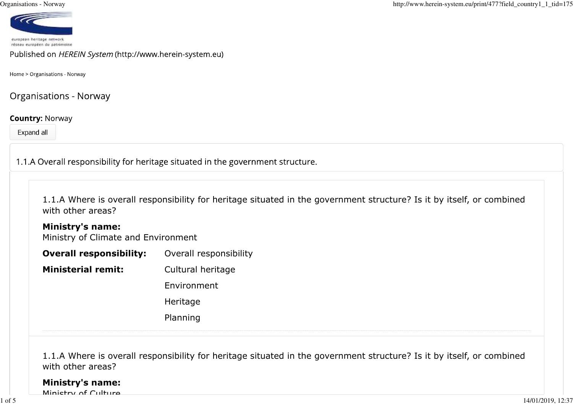

Published on HEREIN System (http://www.herein-system.eu)

Home > Organisations - Norway

**Organisations - Norway** 

## **Country: Norway**

Expand all

1.1.A Overall responsibility for heritage situated in the government structure.

| 1.1.A Where is overall responsibility for heritage situated in the government structure? Is it by itself, or combined |  |  |
|-----------------------------------------------------------------------------------------------------------------------|--|--|
| with other areas?                                                                                                     |  |  |

## **Ministry's name:**

Ministry of Climate and Environment

**Overall responsibility:** Overall responsibility

**Ministerial remit:** Cultural heritage

Environment

Heritage

Planning

1.1.A Where is overall responsibility for heritage situated in the government structure? Is it by itself, or combinedwith other areas?

## **Ministry's name:**

Ministry of Culture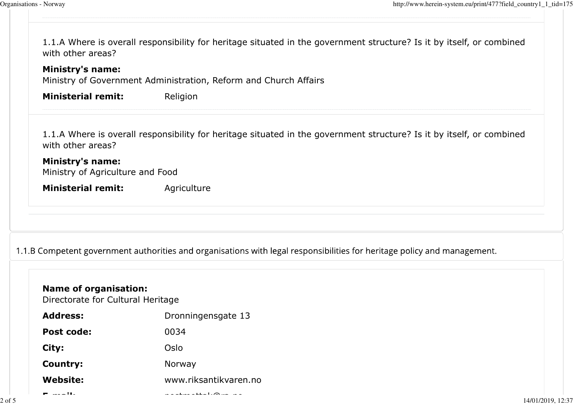2 of 5

| <b>Ministry's name:</b><br>Ministry of Government Administration, Reform and Church Affairs                                           |                                                                                                                          |  |
|---------------------------------------------------------------------------------------------------------------------------------------|--------------------------------------------------------------------------------------------------------------------------|--|
| <b>Ministerial remit:</b>                                                                                                             | Religion                                                                                                                 |  |
| with other areas?                                                                                                                     | 1.1.A Where is overall responsibility for heritage situated in the government structure? Is it by itself, or combined    |  |
| <b>Ministry's name:</b><br>Ministry of Agriculture and Food                                                                           |                                                                                                                          |  |
| <b>Ministerial remit:</b>                                                                                                             | Agriculture                                                                                                              |  |
|                                                                                                                                       |                                                                                                                          |  |
|                                                                                                                                       | 1.1.B Competent government authorities and organisations with legal responsibilities for heritage policy and management. |  |
|                                                                                                                                       | Dronningensgate 13                                                                                                       |  |
|                                                                                                                                       | 0034                                                                                                                     |  |
|                                                                                                                                       | Oslo                                                                                                                     |  |
| <b>Name of organisation:</b><br>Directorate for Cultural Heritage<br><b>Address:</b><br><b>Post code:</b><br>City:<br><b>Country:</b> | Norway                                                                                                                   |  |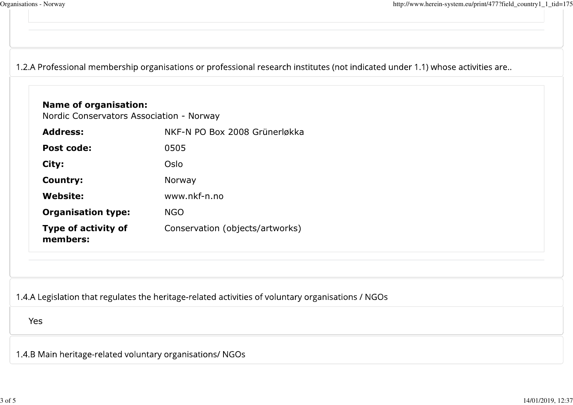1.2.A Professional membership organisations or professional research institutes (not indicated under 1.1) whose activities are..

| <b>Address:</b>                        | NKF-N PO Box 2008 Grünerløkka                                                                      |
|----------------------------------------|----------------------------------------------------------------------------------------------------|
| Post code:                             | 0505                                                                                               |
| City:                                  | Oslo                                                                                               |
| <b>Country:</b>                        | Norway                                                                                             |
| <b>Website:</b>                        | www.nkf-n.no                                                                                       |
| <b>Organisation type:</b>              | <b>NGO</b>                                                                                         |
| <b>Type of activity of</b><br>members: | Conservation (objects/artworks)                                                                    |
|                                        | 1.4.A Legislation that regulates the heritage-related activities of voluntary organisations / NGOs |
| Yes                                    |                                                                                                    |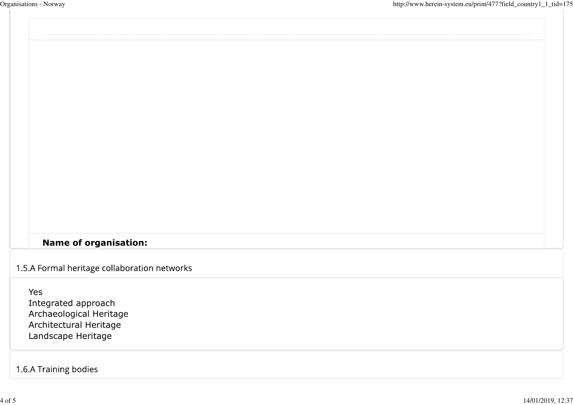## **Name of organisation:**

1.5.A Formal heritage collaboration networks

Yes Integrated approach Archaeological HeritageArchitectural HeritageLandscape Heritage

1.6.A Training bodies